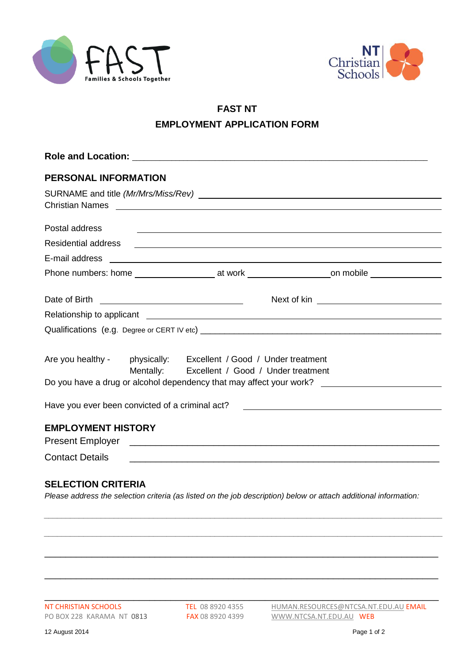



## **FAST NT EMPLOYMENT APPLICATION FORM**

| <b>PERSONAL INFORMATION</b>                                                                                      |  |                                                                                                                                                                                                                                      |                                                                                                                                                                                                                               |  |
|------------------------------------------------------------------------------------------------------------------|--|--------------------------------------------------------------------------------------------------------------------------------------------------------------------------------------------------------------------------------------|-------------------------------------------------------------------------------------------------------------------------------------------------------------------------------------------------------------------------------|--|
|                                                                                                                  |  | Christian Names <b>contract and the contract of the contract of the contract of the contract of the contract of the contract of the contract of the contract of the contract of the contract of the contract of the contract of </b> |                                                                                                                                                                                                                               |  |
| Postal address                                                                                                   |  |                                                                                                                                                                                                                                      | <u> 1999 - Johann Harry Harry Harry Harry Harry Harry Harry Harry Harry Harry Harry Harry Harry Harry Harry Harry</u>                                                                                                         |  |
| <b>Residential address</b>                                                                                       |  |                                                                                                                                                                                                                                      | <u> 1989 - Johann Stein, mars an deutscher Stein und der Stein und der Stein und der Stein und der Stein und der</u>                                                                                                          |  |
|                                                                                                                  |  |                                                                                                                                                                                                                                      |                                                                                                                                                                                                                               |  |
|                                                                                                                  |  |                                                                                                                                                                                                                                      |                                                                                                                                                                                                                               |  |
|                                                                                                                  |  |                                                                                                                                                                                                                                      |                                                                                                                                                                                                                               |  |
|                                                                                                                  |  |                                                                                                                                                                                                                                      | Relationship to applicant experience of the state of the state of the state of the state of the state of the state of the state of the state of the state of the state of the state of the state of the state of the state of |  |
|                                                                                                                  |  |                                                                                                                                                                                                                                      |                                                                                                                                                                                                                               |  |
| Are you healthy - physically: Excellent / Good / Under treatment<br>Mentally: Excellent / Good / Under treatment |  |                                                                                                                                                                                                                                      |                                                                                                                                                                                                                               |  |
| Have you ever been convicted of a criminal act?                                                                  |  |                                                                                                                                                                                                                                      | <u> 1989 - Andrea Stadt British, fransk politik (d. 1989)</u>                                                                                                                                                                 |  |
| <b>EMPLOYMENT HISTORY</b>                                                                                        |  |                                                                                                                                                                                                                                      |                                                                                                                                                                                                                               |  |
|                                                                                                                  |  |                                                                                                                                                                                                                                      |                                                                                                                                                                                                                               |  |
| <b>SELECTION CRITERIA</b>                                                                                        |  | the contract of the contract of the contract of the contract of the contract of the contract of the contract of                                                                                                                      |                                                                                                                                                                                                                               |  |

*Please address the selection criteria (as listed on the job description) below or attach additional information:*

*\_\_\_\_\_\_\_\_\_\_\_\_\_\_\_\_\_\_\_\_\_\_\_\_\_\_\_\_\_\_\_\_\_\_\_\_\_\_\_\_\_\_\_\_\_\_\_\_\_\_\_\_\_\_\_\_\_\_\_\_\_\_\_\_\_\_\_\_\_\_\_\_\_\_\_\_\_\_\_\_\_\_\_\_\_\_\_\_\_\_\_*

*\_\_\_\_\_\_\_\_\_\_\_\_\_\_\_\_\_\_\_\_\_\_\_\_\_\_\_\_\_\_\_\_\_\_\_\_\_\_\_\_\_\_\_\_\_\_\_\_\_\_\_\_\_\_\_\_\_\_\_\_\_\_\_\_\_\_\_\_\_\_\_\_\_\_\_\_\_\_\_\_\_\_\_\_\_\_\_\_\_\_\_*

\_\_\_\_\_\_\_\_\_\_\_\_\_\_\_\_\_\_\_\_\_\_\_\_\_\_\_\_\_\_\_\_\_\_\_\_\_\_\_\_\_\_\_\_\_\_\_\_\_\_\_\_\_\_\_\_\_\_\_\_\_\_\_\_\_\_\_\_\_\_\_\_\_\_\_

\_\_\_\_\_\_\_\_\_\_\_\_\_\_\_\_\_\_\_\_\_\_\_\_\_\_\_\_\_\_\_\_\_\_\_\_\_\_\_\_\_\_\_\_\_\_\_\_\_\_\_\_\_\_\_\_\_\_\_\_\_\_\_\_\_\_\_\_\_\_\_\_\_\_\_

\_\_\_\_\_\_\_\_\_\_\_\_\_\_\_\_\_\_\_\_\_\_\_\_\_\_\_\_\_\_\_\_\_\_\_\_\_\_\_\_\_\_\_\_\_\_\_\_\_\_\_\_\_\_\_\_\_\_\_\_\_\_\_\_\_\_\_\_\_\_\_\_\_\_\_

PO BOX 228 KARAMA NT 0813 FAX 08 8920 4399 [WWW.NTCSA.NT.EDU.AU](http://www.ntcsa.nt.edu.au/) WEB

NT CHRISTIAN SCHOOLS TEL 08 8920 4355 [HUMAN.RESOURCES@NTCSA.NT.EDU.AU](mailto:HUMAN.RESOURCES@NTCSA.NT.EDU.AU) EMAIL<br>PO BOX 228 KARAMA NT 0813 FAX 08 8920 4399 WWW.NTCSA.NT.EDU.AU WEB